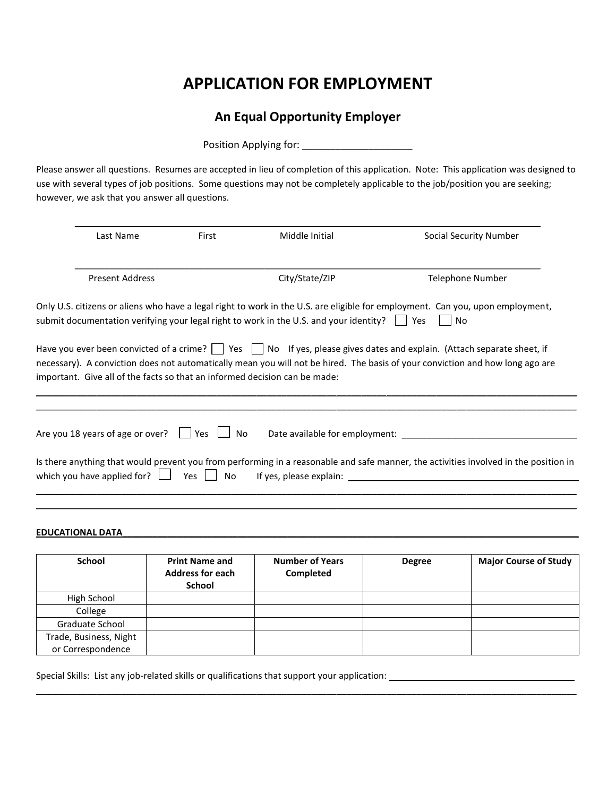# **APPLICATION FOR EMPLOYMENT**

## **An Equal Opportunity Employer**

Position Applying for: \_\_\_\_\_\_\_\_\_\_\_\_\_\_\_\_\_\_\_\_

Please answer all questions. Resumes are accepted in lieu of completion of this application. Note: This application was designed to use with several types of job positions. Some questions may not be completely applicable to the job/position you are seeking; however, we ask that you answer all questions.

| Last Name                                                                  |               | Middle Initial                                                                                       | Social Security Number                                                                                                                                                                                                                                      |  |
|----------------------------------------------------------------------------|---------------|------------------------------------------------------------------------------------------------------|-------------------------------------------------------------------------------------------------------------------------------------------------------------------------------------------------------------------------------------------------------------|--|
| Present Address                                                            |               | City/State/ZIP                                                                                       | Telephone Number                                                                                                                                                                                                                                            |  |
|                                                                            |               | submit documentation verifying your legal right to work in the U.S. and your identity? $\vert$   Yes | Only U.S. citizens or aliens who have a legal right to work in the U.S. are eligible for employment. Can you, upon employment,<br>No                                                                                                                        |  |
| important. Give all of the facts so that an informed decision can be made: |               |                                                                                                      | Have you ever been convicted of a crime?     Yes     No If yes, please gives dates and explain. (Attach separate sheet, if<br>necessary). A conviction does not automatically mean you will not be hired. The basis of your conviction and how long ago are |  |
|                                                                            |               |                                                                                                      |                                                                                                                                                                                                                                                             |  |
| Are you 18 years of age or over? $\Box$ Yes $\Box$ No                      |               |                                                                                                      |                                                                                                                                                                                                                                                             |  |
| which you have applied for? $\Box$                                         | Yes $\Box$ No | If yes, please explain:                                                                              | Is there anything that would prevent you from performing in a reasonable and safe manner, the activities involved in the position in                                                                                                                        |  |
|                                                                            |               |                                                                                                      |                                                                                                                                                                                                                                                             |  |

#### **EDUCATIONAL DATA\_\_\_\_\_\_\_\_\_\_\_\_\_\_\_\_\_\_\_\_\_\_\_\_\_\_\_\_\_\_\_\_\_\_\_\_\_\_\_\_\_\_\_\_\_\_\_\_\_\_\_\_\_\_\_\_\_\_\_\_\_\_\_\_\_\_\_\_\_\_\_\_\_\_\_\_\_\_\_\_\_\_\_\_\_\_\_\_\_\_\_**

| <b>School</b>          | <b>Print Name and</b><br><b>Address for each</b><br><b>School</b> | <b>Number of Years</b><br>Completed | <b>Degree</b> | <b>Major Course of Study</b> |
|------------------------|-------------------------------------------------------------------|-------------------------------------|---------------|------------------------------|
| High School            |                                                                   |                                     |               |                              |
| College                |                                                                   |                                     |               |                              |
| <b>Graduate School</b> |                                                                   |                                     |               |                              |
| Trade, Business, Night |                                                                   |                                     |               |                              |
| or Correspondence      |                                                                   |                                     |               |                              |

\_\_\_\_\_\_\_\_\_\_\_\_\_\_\_\_\_\_\_\_\_\_\_\_\_\_\_\_\_\_\_\_\_\_\_\_\_\_\_\_\_\_\_\_\_\_\_\_\_\_\_\_\_\_\_\_\_\_\_\_\_\_\_\_\_\_\_\_\_\_\_\_\_\_\_\_\_\_\_\_\_\_\_\_\_\_\_\_\_\_\_\_\_\_\_\_\_\_\_\_\_\_\_\_\_\_\_\_

Special Skills: List any job-related skills or qualifications that support your application: \_\_\_\_\_\_\_\_\_\_\_\_\_\_\_\_\_\_\_\_\_\_\_\_\_\_\_\_\_\_\_\_\_\_\_\_\_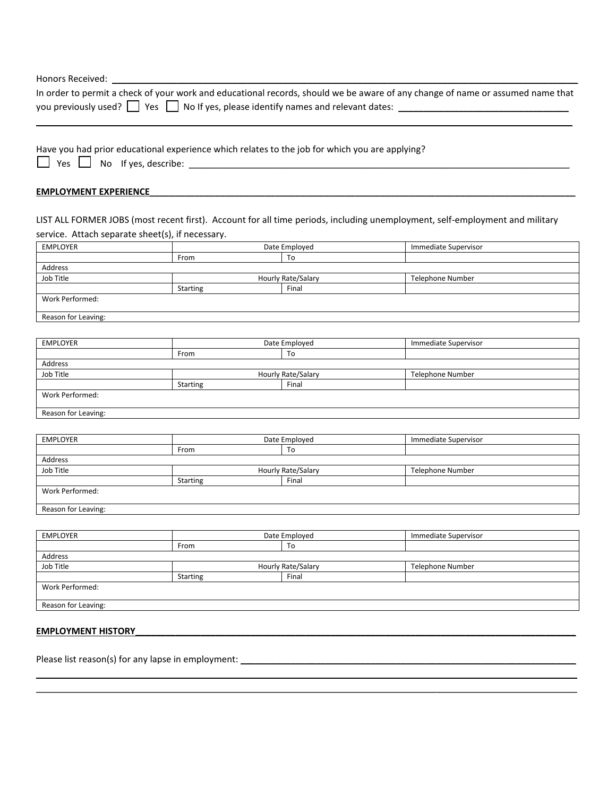| Honors Received: _                               |                                                                                                |                     |                                                                                                                                |
|--------------------------------------------------|------------------------------------------------------------------------------------------------|---------------------|--------------------------------------------------------------------------------------------------------------------------------|
|                                                  |                                                                                                |                     | In order to permit a check of your work and educational records, should we be aware of any change of name or assumed name that |
|                                                  |                                                                                                |                     |                                                                                                                                |
|                                                  | Have you had prior educational experience which relates to the job for which you are applying? |                     |                                                                                                                                |
| Yes $\Box$                                       |                                                                                                |                     |                                                                                                                                |
| <b>EMPLOYMENT EXPERIENCE</b>                     |                                                                                                |                     |                                                                                                                                |
| service. Attach separate sheet(s), if necessary. |                                                                                                |                     | LIST ALL FORMER JOBS (most recent first). Account for all time periods, including unemployment, self-employment and military   |
| <b>EMPLOYER</b>                                  |                                                                                                | Date Employed       | Immediate Supervisor                                                                                                           |
|                                                  | From                                                                                           | To                  |                                                                                                                                |
| Address                                          |                                                                                                |                     |                                                                                                                                |
| Job Title                                        |                                                                                                | Hourly Rate/Salary  | Telephone Number                                                                                                               |
|                                                  | <b>Starting</b>                                                                                | Final               |                                                                                                                                |
| Work Performed:                                  |                                                                                                |                     |                                                                                                                                |
| Reason for Leaving:                              |                                                                                                |                     |                                                                                                                                |
|                                                  |                                                                                                |                     |                                                                                                                                |
| <b>EMPLOYER</b>                                  |                                                                                                |                     |                                                                                                                                |
|                                                  |                                                                                                | Date Employed<br>To | Immediate Supervisor                                                                                                           |
|                                                  | From                                                                                           |                     |                                                                                                                                |
| Address<br>Job Title                             |                                                                                                | Hourly Rate/Salary  |                                                                                                                                |
|                                                  |                                                                                                | Final               | Telephone Number                                                                                                               |
| Work Performed:                                  | Starting                                                                                       |                     |                                                                                                                                |
| Reason for Leaving:                              |                                                                                                |                     |                                                                                                                                |
|                                                  |                                                                                                |                     |                                                                                                                                |
| <b>EMPLOYER</b>                                  |                                                                                                | Date Employed       | Immediate Supervisor                                                                                                           |
|                                                  | From                                                                                           | To                  |                                                                                                                                |
| Address                                          |                                                                                                |                     |                                                                                                                                |
| Job Title                                        |                                                                                                | Hourly Rate/Salary  | Telephone Number                                                                                                               |
|                                                  | <b>Starting</b>                                                                                | Final               |                                                                                                                                |
| Work Performed:                                  |                                                                                                |                     |                                                                                                                                |
| Reason for Leaving:                              |                                                                                                |                     |                                                                                                                                |
|                                                  |                                                                                                |                     |                                                                                                                                |
| <b>EMPLOYER</b>                                  |                                                                                                | Date Employed       | Immediate Supervisor                                                                                                           |
|                                                  | From                                                                                           | To                  |                                                                                                                                |
| Address                                          |                                                                                                |                     |                                                                                                                                |
| Job Title                                        |                                                                                                | Hourly Rate/Salary  | Telephone Number                                                                                                               |
|                                                  | Starting                                                                                       | Final               |                                                                                                                                |
| Work Performed:                                  |                                                                                                |                     |                                                                                                                                |

\_\_\_\_\_\_\_\_\_\_\_\_\_\_\_\_\_\_\_\_\_\_\_\_\_\_\_\_\_\_\_\_\_\_\_\_\_\_\_\_\_\_\_\_\_\_\_\_\_\_\_\_\_\_\_\_\_\_\_\_\_\_\_\_\_\_\_\_\_\_\_\_\_\_\_\_\_\_\_\_\_\_\_\_\_\_\_\_\_\_\_\_\_\_\_\_\_\_\_\_\_\_\_\_\_\_\_\_ \_\_\_\_\_\_\_\_\_\_\_\_\_\_\_\_\_\_\_\_\_\_\_\_\_\_\_\_\_\_\_\_\_\_\_\_\_\_\_\_\_\_\_\_\_\_\_\_\_\_\_\_\_\_\_\_\_\_\_\_\_\_\_\_\_\_\_\_\_\_\_\_\_\_\_\_\_\_\_\_\_\_\_\_\_\_\_\_\_\_\_\_\_\_\_\_\_\_\_\_\_\_\_\_\_\_\_\_

Reason for Leaving:

### **EMPLOYMENT HISTORY\_\_\_\_\_\_\_\_\_\_\_\_\_\_\_\_\_\_\_\_\_\_\_\_\_\_\_\_\_\_\_\_\_\_\_\_\_\_\_\_\_\_\_\_\_\_\_\_\_\_\_\_\_\_\_\_\_\_\_\_\_\_\_\_\_\_\_\_\_\_\_\_\_\_\_\_\_\_\_\_\_\_\_\_\_\_\_\_**

Please list reason(s) for any lapse in employment: \_\_\_\_\_\_\_\_\_\_\_\_\_\_\_\_\_\_\_\_\_\_\_\_\_\_\_\_\_\_\_\_\_\_\_\_\_\_\_\_\_\_\_\_\_\_\_\_\_\_\_\_\_\_\_\_\_\_\_\_\_\_\_\_\_\_\_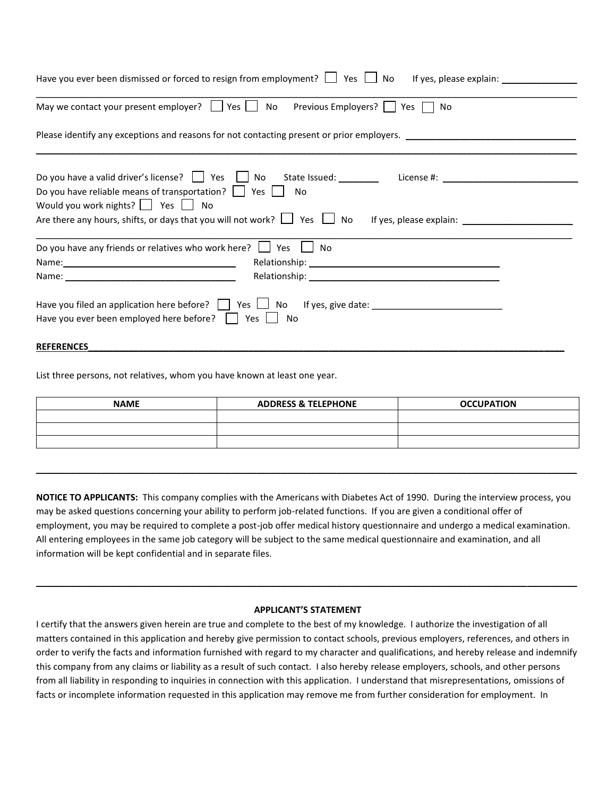| Have you ever been dismissed or forced to resign from employment? $\Box$ Yes $\Box$ No                                                                                                                                                                                                                      |
|-------------------------------------------------------------------------------------------------------------------------------------------------------------------------------------------------------------------------------------------------------------------------------------------------------------|
| May we contact your present employer? $\Box$ Yes $\Box$ No<br>Previous Employers?     Yes    <br>No                                                                                                                                                                                                         |
| Please identify any exceptions and reasons for not contacting present or prior employers. ____________________                                                                                                                                                                                              |
| Do you have a valid driver's license?     Yes     No State Issued: ________ License #: _____________<br>Do you have reliable means of transportation?     Yes    <br>No<br>Would you work nights? $\Box$ Yes $\Box$ No<br>Are there any hours, shifts, or days that you will not work? $\Box$ Yes $\Box$ No |
| Do you have any friends or relatives who work here? $\Box$ Yes<br>No<br>Relationship: Note and the set of the set of the set of the set of the set of the set of the set of the set of the set of the set of the set of the set of the set of the set of the set of the set of the set of the set of t      |
|                                                                                                                                                                                                                                                                                                             |
| Have you filed an application here before? $\vert \vert$ Yes $\vert \vert$ No If yes, give date:<br>Have you ever been employed here before?     Yes  <br>No                                                                                                                                                |

List three persons, not relatives, whom you have known at least one year.

| <b>NAME</b> | <b>ADDRESS &amp; TELEPHONE</b> | <b>OCCUPATION</b> |
|-------------|--------------------------------|-------------------|
|             |                                |                   |
|             |                                |                   |
|             |                                |                   |

\_\_\_\_\_\_\_\_\_\_\_\_\_\_\_\_\_\_\_\_\_\_\_\_\_\_\_\_\_\_\_\_\_\_\_\_\_\_\_\_\_\_\_\_\_\_\_\_\_\_\_\_\_\_\_\_\_\_\_\_\_\_\_\_\_\_\_\_\_\_\_\_\_\_\_\_\_\_\_\_\_\_\_\_\_\_\_\_\_\_\_\_\_\_\_\_\_\_\_\_\_\_\_\_\_\_\_\_

**REFERENCES\_\_\_\_\_\_\_\_\_\_\_\_\_\_\_\_\_\_\_\_\_\_\_\_\_\_\_\_\_\_\_\_\_\_\_\_\_\_\_\_\_\_\_\_\_\_\_\_\_\_\_\_\_\_\_\_\_\_\_\_\_\_\_\_\_\_\_\_\_\_\_\_\_\_\_\_\_\_\_\_\_\_\_\_\_\_\_\_\_\_\_\_\_\_\_**

**NOTICE TO APPLICANTS:** This company complies with the Americans with Diabetes Act of 1990. During the interview process, you may be asked questions concerning your ability to perform job-related functions. If you are given a conditional offer of employment, you may be required to complete a post-job offer medical history questionnaire and undergo a medical examination. All entering employees in the same job category will be subject to the same medical questionnaire and examination, and all information will be kept confidential and in separate files.

#### **APPLICANT'S STATEMENT**

\_\_\_\_\_\_\_\_\_\_\_\_\_\_\_\_\_\_\_\_\_\_\_\_\_\_\_\_\_\_\_\_\_\_\_\_\_\_\_\_\_\_\_\_\_\_\_\_\_\_\_\_\_\_\_\_\_\_\_\_\_\_\_\_\_\_\_\_\_\_\_\_\_\_\_\_\_\_\_\_\_\_\_\_\_\_\_\_\_\_\_\_\_\_\_\_\_\_\_\_\_\_\_\_\_\_\_\_

I certify that the answers given herein are true and complete to the best of my knowledge. I authorize the investigation of all matters contained in this application and hereby give permission to contact schools, previous employers, references, and others in order to verify the facts and information furnished with regard to my character and qualifications, and hereby release and indemnify this company from any claims or liability as a result of such contact. I also hereby release employers, schools, and other persons from all liability in responding to inquiries in connection with this application. I understand that misrepresentations, omissions of facts or incomplete information requested in this application may remove me from further consideration for employment. In